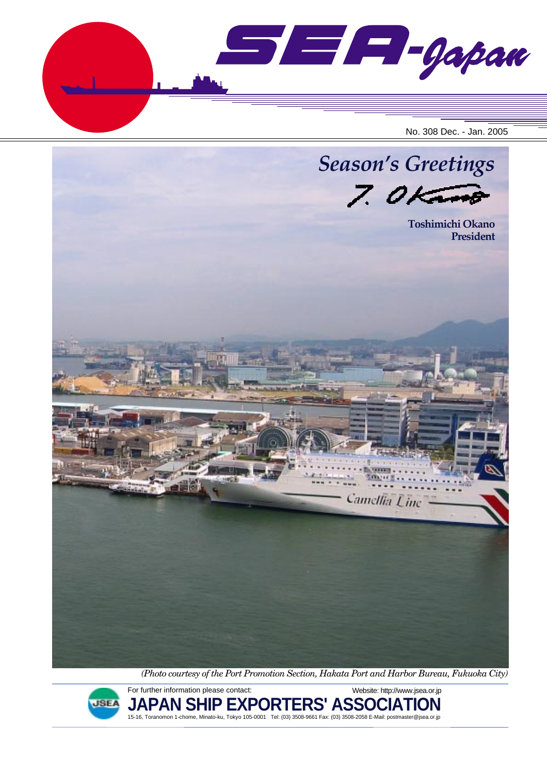SEF-Gapan No. 308 Dec. - Jan. 2005



*(Photo courtesy of the Port Promotion Section, Hakata Port and Harbor Bureau, Fukuoka City)*



For further information please contact: **JAPAN SHIP EXPORTERS' ASSOCIATION** 15-16, Toranomon 1-chome, Minato-ku, Tokyo 105-0001 Tel: (03) 3508-9661 Fax: (03) 3508-2058 E-Mail: postmaster@jsea.or.jp Website: http://www.jsea.or.jp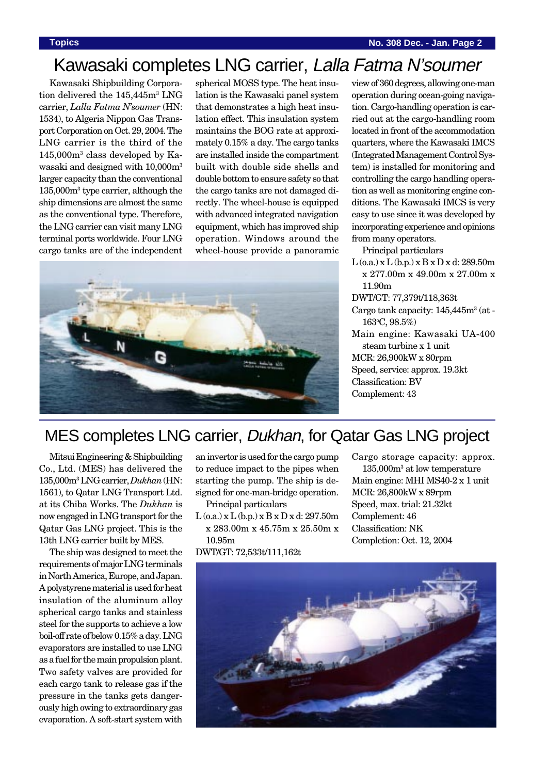### Kawasaki completes LNG carrier, Lalla Fatma N'soumer

Kawasaki Shipbuilding Corporation delivered the 145,445m<sup>3</sup> LNG carrier, *Lalla Fatma N'soumer* (HN: 1534), to Algeria Nippon Gas Transport Corporation on Oct. 29, 2004. The LNG carrier is the third of the 145,000m3 class developed by Kawasaki and designed with  $10.000$ m<sup>3</sup> larger capacity than the conventional 135,000m3 type carrier, although the ship dimensions are almost the same as the conventional type. Therefore, the LNG carrier can visit many LNG terminal ports worldwide. Four LNG cargo tanks are of the independent spherical MOSS type. The heat insulation is the Kawasaki panel system that demonstrates a high heat insulation effect. This insulation system maintains the BOG rate at approximately 0.15% a day. The cargo tanks are installed inside the compartment built with double side shells and double bottom to ensure safety so that the cargo tanks are not damaged directly. The wheel-house is equipped with advanced integrated navigation equipment, which has improved ship operation. Windows around the wheel-house provide a panoramic



view of 360 degrees, allowing one-man operation during ocean-going navigation. Cargo-handling operation is carried out at the cargo-handling room located in front of the accommodation quarters, where the Kawasaki IMCS (Integrated Management Control System) is installed for monitoring and controlling the cargo handling operation as well as monitoring engine conditions. The Kawasaki IMCS is very easy to use since it was developed by incorporating experience and opinions from many operators.

Principal particulars

 $L$  (o.a.) x  $L$  (b.p.) x  $B$  x  $D$  x d: 289.50m x 277.00m x 49.00m x 27.00m x 11.90m

DWT/GT: 77,379t/118,363t

- Cargo tank capacity:  $145,445m^3$  (at -163o C, 98.5%)
- Main engine: Kawasaki UA-400 steam turbine x 1 unit MCR: 26,900kW x 80rpm Speed, service: approx. 19.3kt Classification: BV Complement: 43

### MES completes LNG carrier, Dukhan, for Qatar Gas LNG project

Mitsui Engineering & Shipbuilding Co., Ltd. (MES) has delivered the 135,000m3 LNG carrier, *Dukhan* (HN: 1561), to Qatar LNG Transport Ltd. at its Chiba Works. The *Dukhan* is now engaged in LNG transport for the Qatar Gas LNG project. This is the 13th LNG carrier built by MES.

The ship was designed to meet the requirements of major LNG terminals in North America, Europe, and Japan. A polystyrene material is used for heat insulation of the aluminum alloy spherical cargo tanks and stainless steel for the supports to achieve a low boil-off rate of below 0.15% a day. LNG evaporators are installed to use LNG as a fuel for the main propulsion plant. Two safety valves are provided for each cargo tank to release gas if the pressure in the tanks gets dangerously high owing to extraordinary gas evaporation. A soft-start system with

an invertor is used for the cargo pump to reduce impact to the pipes when starting the pump. The ship is designed for one-man-bridge operation.

Principal particulars

 $L$  (o.a.) x  $L$  (b.p.) x  $B$  x  $D$  x d: 297.50m x 283.00m x 45.75m x 25.50m x 10.95m

DWT/GT: 72,533t/111,162t

Cargo storage capacity: approx.

135,000m3 at low temperature Main engine: MHI MS40-2 x 1 unit MCR: 26,800kW x 89rpm Speed, max. trial: 21.32kt Complement: 46 Classification: NK Completion: Oct. 12, 2004

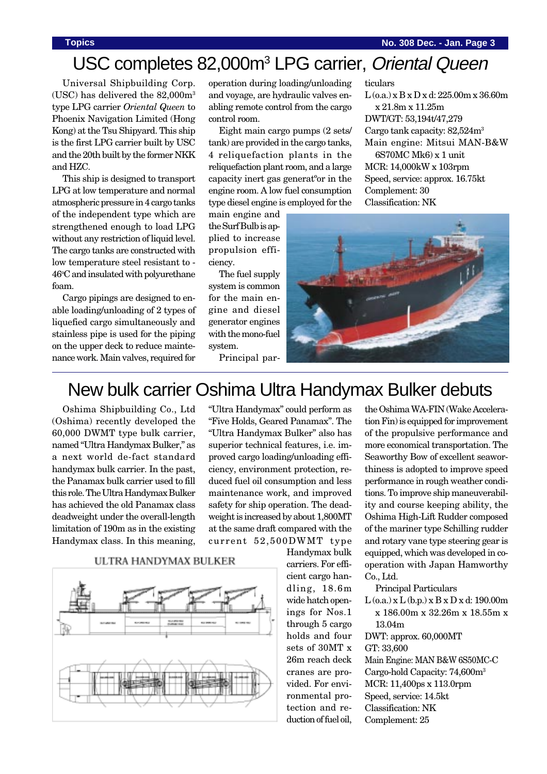# USC completes 82,000m<sup>3</sup> LPG carrier, Oriental Queen

Universal Shipbuilding Corp. (USC) has delivered the 82,000m3 type LPG carrier *Oriental Queen* to Phoenix Navigation Limited (Hong Kong) at the Tsu Shipyard. This ship is the first LPG carrier built by USC and the 20th built by the former NKK and HZC.

This ship is designed to transport LPG at low temperature and normal atmospheric pressure in 4 cargo tanks of the independent type which are strengthened enough to load LPG without any restriction of liquid level. The cargo tanks are constructed with low temperature steel resistant to - 46°C and insulated with polyurethane foam.

Cargo pipings are designed to enable loading/unloading of 2 types of liquefied cargo simultaneously and stainless pipe is used for the piping on the upper deck to reduce maintenance work. Main valves, required for

operation during loading/unloading and voyage, are hydraulic valves enabling remote control from the cargo control room.

Eight main cargo pumps (2 sets/ tank) are provided in the cargo tanks, 4 reliquefaction plants in the reliquefaction plant room, and a large capacity inert gas generatºor in the engine room. A low fuel consumption type diesel engine is employed for the

main engine and the Surf Bulb is applied to increase propulsion efficiency.

The fuel supply system is common for the main engine and diesel generator engines with the mono-fuel system.

Principal par-

ticulars L (o.a.) x B x D x d: 225.00m x 36.60m x 21.8m x 11.25m DWT/GT: 53,194t/47,279 Cargo tank capacity: 82,524m3 Main engine: Mitsui MAN-B&W 6S70MC Mk6) x 1 unit MCR: 14,000kW x 103rpm Speed, service: approx. 16.75kt Complement: 30 Classification: NK



### New bulk carrier Oshima Ultra Handymax Bulker debuts

Oshima Shipbuilding Co., Ltd (Oshima) recently developed the 60,000 DWMT type bulk carrier, named "Ultra Handymax Bulker," as a next world de-fact standard handymax bulk carrier. In the past, the Panamax bulk carrier used to fill this role. The Ultra Handymax Bulker has achieved the old Panamax class deadweight under the overall-length limitation of 190m as in the existing Handymax class. In this meaning,

"Ultra Handymax" could perform as "Five Holds, Geared Panamax". The "Ultra Handymax Bulker" also has superior technical features, i.e. improved cargo loading/unloading efficiency, environment protection, reduced fuel oil consumption and less maintenance work, and improved safety for ship operation. The deadweight is increased by about 1,800MT at the same draft compared with the current 52,500DWMT type





Handymax bulk carriers. For efficient cargo handling, 18.6m wide hatch openings for Nos.1 through 5 cargo holds and four sets of 30MT x 26m reach deck cranes are provided. For environmental protection and reduction of fuel oil,

the Oshima WA-FIN (Wake Acceleration Fin) is equipped for improvement of the propulsive performance and more economical transportation. The Seaworthy Bow of excellent seaworthiness is adopted to improve speed performance in rough weather conditions. To improve ship maneuverability and course keeping ability, the Oshima High-Lift Rudder composed of the mariner type Schilling rudder and rotary vane type steering gear is equipped, which was developed in cooperation with Japan Hamworthy Co., Ltd.

Principal Particulars

 $L$  (o.a.) x  $L$  (b.p.) x  $B$  x  $D$  x d: 190.00m x 186.00m x 32.26m x 18.55m x 13.04m

DWT: approx. 60,000MT GT: 33,600 Main Engine: MAN B&W 6S50MC-C Cargo-hold Capacity: 74,600m3 MCR: 11,400ps x 113.0rpm Speed, service: 14.5kt Classification: NK Complement: 25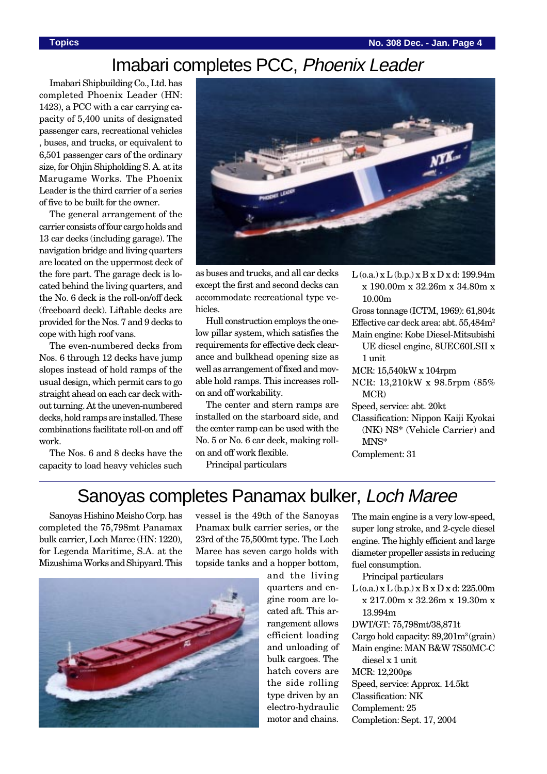## Imabari completes PCC, Phoenix Leader

Imabari Shipbuilding Co., Ltd. has completed Phoenix Leader (HN: 1423), a PCC with a car carrying capacity of 5,400 units of designated passenger cars, recreational vehicles , buses, and trucks, or equivalent to 6,501 passenger cars of the ordinary size, for Ohiin Shipholding S. A. at its Marugame Works. The Phoenix Leader is the third carrier of a series of five to be built for the owner.

The general arrangement of the carrier consists of four cargo holds and 13 car decks (including garage). The navigation bridge and living quarters are located on the uppermost deck of the fore part. The garage deck is located behind the living quarters, and the No. 6 deck is the roll-on/off deck (freeboard deck). Liftable decks are provided for the Nos. 7 and 9 decks to cope with high roof vans.

The even-numbered decks from Nos. 6 through 12 decks have jump slopes instead of hold ramps of the usual design, which permit cars to go straight ahead on each car deck without turning. At the uneven-numbered decks, hold ramps are installed. These combinations facilitate roll-on and off work.

The Nos. 6 and 8 decks have the capacity to load heavy vehicles such



as buses and trucks, and all car decks except the first and second decks can accommodate recreational type vehicles.

Hull construction employs the onelow pillar system, which satisfies the requirements for effective deck clearance and bulkhead opening size as well as arrangement of fixed and movable hold ramps. This increases rollon and off workability.

The center and stern ramps are installed on the starboard side, and the center ramp can be used with the No. 5 or No. 6 car deck, making rollon and off work flexible.

Principal particulars

 $L$  (o.a.) x  $L$  (b.p.) x  $B$  x  $D$  x d: 199.94m x 190.00m x 32.26m x 34.80m x 10.00m

Gross tonnage (ICTM, 1969): 61,804t Effective car deck area: abt. 55,484m<sup>2</sup>

Main engine: Kobe Diesel-Mitsubishi UE diesel engine, 8UEC60LSII x 1 unit

- MCR: 15,540kW x 104rpm
- NCR: 13,210kW x 98.5rpm (85% MCR)
- Speed, service: abt. 20kt
- Classification: Nippon Kaiji Kyokai (NK) NS\* (Vehicle Carrier) and MNS\*

Complement: 31

## Sanoyas completes Panamax bulker, Loch Maree

Sanoyas Hishino Meisho Corp. has completed the 75,798mt Panamax bulk carrier, Loch Maree (HN: 1220), for Legenda Maritime, S.A. at the Mizushima Works and Shipyard. This

vessel is the 49th of the Sanoyas Pnamax bulk carrier series, or the 23rd of the 75,500mt type. The Loch Maree has seven cargo holds with topside tanks and a hopper bottom,

and the living quarters and engine room are located aft. This arrangement allows efficient loading and unloading of bulk cargoes. The hatch covers are the side rolling type driven by an electro-hydraulic motor and chains.

The main engine is a very low-speed, super long stroke, and 2-cycle diesel engine. The highly efficient and large diameter propeller assists in reducing fuel consumption.

Principal particulars

 $L$  (o.a.) x  $L$  (b.p.) x  $B$  x  $D$  x d: 225.00m x 217.00m x 32.26m x 19.30m x 13.994m

DWT/GT: 75,798mt/38,871t

Cargo hold capacity:  $89,201m^3$  (grain)

Main engine: MAN B&W 7S50MC-C diesel x 1 unit

MCR: 12,200ps

- Speed, service: Approx. 14.5kt
- Classification: NK
- Complement: 25
- Completion: Sept. 17, 2004

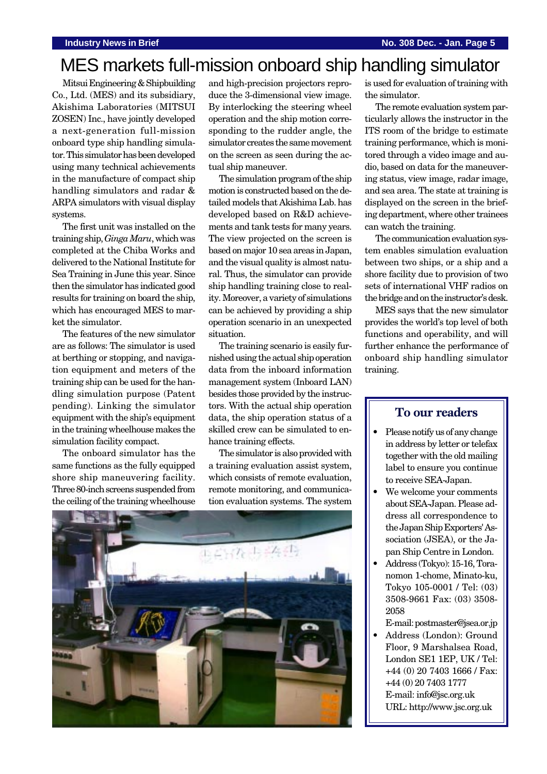# MES markets full-mission onboard ship handling simulator

Mitsui Engineering & Shipbuilding Co., Ltd. (MES) and its subsidiary, Akishima Laboratories (MITSUI ZOSEN) Inc., have jointly developed a next-generation full-mission onboard type ship handling simulator. This simulator has been developed using many technical achievements in the manufacture of compact ship handling simulators and radar & ARPA simulators with visual display systems.

The first unit was installed on the training ship, *Ginga Maru*, which was completed at the Chiba Works and delivered to the National Institute for Sea Training in June this year. Since then the simulator has indicated good results for training on board the ship, which has encouraged MES to market the simulator.

The features of the new simulator are as follows: The simulator is used at berthing or stopping, and navigation equipment and meters of the training ship can be used for the handling simulation purpose (Patent pending). Linking the simulator equipment with the ship's equipment in the training wheelhouse makes the simulation facility compact.

The onboard simulator has the same functions as the fully equipped shore ship maneuvering facility. Three 80-inch screens suspended from the ceiling of the training wheelhouse

and high-precision projectors reproduce the 3-dimensional view image. By interlocking the steering wheel operation and the ship motion corresponding to the rudder angle, the simulator creates the same movement on the screen as seen during the actual ship maneuver.

The simulation program of the ship motion is constructed based on the detailed models that Akishima Lab. has developed based on R&D achievements and tank tests for many years. The view projected on the screen is based on major 10 sea areas in Japan, and the visual quality is almost natural. Thus, the simulator can provide ship handling training close to reality. Moreover, a variety of simulations can be achieved by providing a ship operation scenario in an unexpected situation.

The training scenario is easily furnished using the actual ship operation data from the inboard information management system (Inboard LAN) besides those provided by the instructors. With the actual ship operation data, the ship operation status of a skilled crew can be simulated to enhance training effects.

The simulator is also provided with a training evaluation assist system, which consists of remote evaluation, remote monitoring, and communication evaluation systems. The system



is used for evaluation of training with the simulator.

The remote evaluation system particularly allows the instructor in the ITS room of the bridge to estimate training performance, which is monitored through a video image and audio, based on data for the maneuvering status, view image, radar image, and sea area. The state at training is displayed on the screen in the briefing department, where other trainees can watch the training.

The communication evaluation system enables simulation evaluation between two ships, or a ship and a shore facility due to provision of two sets of international VHF radios on the bridge and on the instructor's desk.

MES says that the new simulator provides the world's top level of both functions and operability, and will further enhance the performance of onboard ship handling simulator training.

### **To our readers**

- Please notify us of any change in address by letter or telefax together with the old mailing label to ensure you continue to receive SEA-Japan.
- We welcome your comments about SEA-Japan. Please address all correspondence to the Japan Ship Exporters' Association (JSEA), or the Japan Ship Centre in London.
- Address (Tokyo): 15-16, Toranomon 1-chome, Minato-ku, Tokyo 105-0001 / Tel: (03) 3508-9661 Fax: (03) 3508- 2058
- E-mail: postmaster@jsea.or.jp • Address (London): Ground Floor, 9 Marshalsea Road, London SE1 1EP, UK / Tel: +44 (0) 20 7403 1666 / Fax: +44 (0) 20 7403 1777 E-mail: info@jsc.org.uk URL: http://www.jsc.org.uk